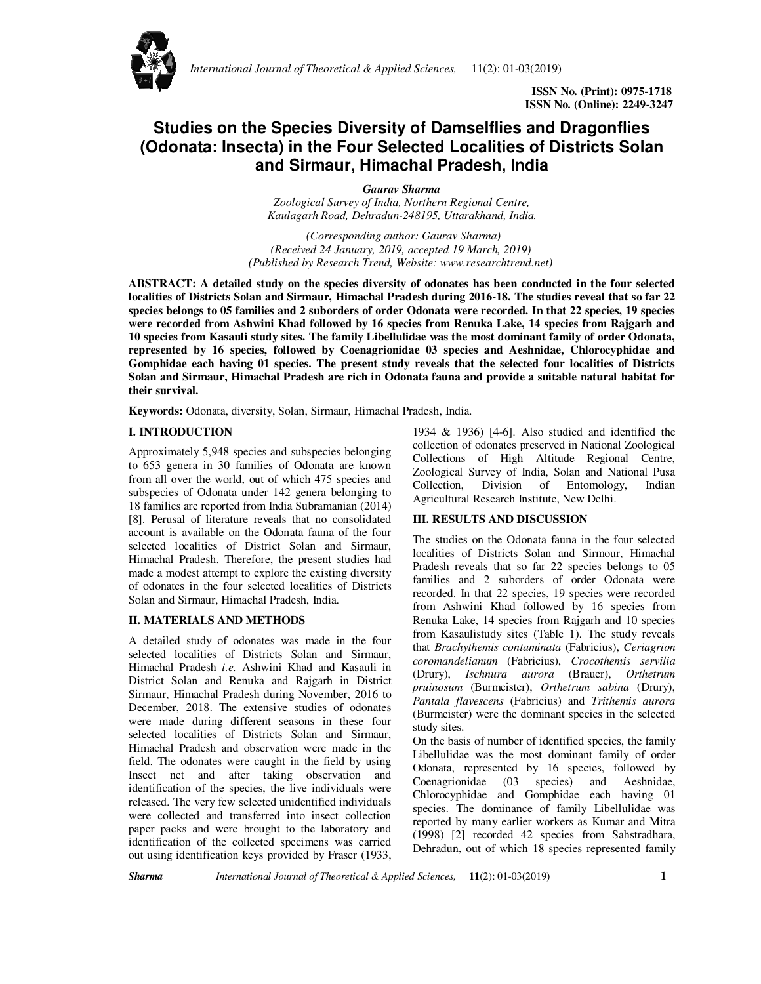

 **ISSN No. (Print): 0975-1718 ISSN No. (Online): 2249-3247** 

# **Studies on the Species Diversity of Damselflies and Dragonflies (Odonata: Insecta) in the Four Selected Localities of Districts Solan and Sirmaur, Himachal Pradesh, India**

*Gaurav Sharma*

*Zoological Survey of India, Northern Regional Centre, Kaulagarh Road, Dehradun-248195, Uttarakhand, India.* 

 *(Corresponding author: Gaurav Sharma) (Received 24 January, 2019, accepted 19 March, 2019) (Published by Research Trend, Website: www.researchtrend.net)* 

**ABSTRACT: A detailed study on the species diversity of odonates has been conducted in the four selected localities of Districts Solan and Sirmaur, Himachal Pradesh during 2016-18. The studies reveal that so far 22 species belongs to 05 families and 2 suborders of order Odonata were recorded. In that 22 species, 19 species were recorded from Ashwini Khad followed by 16 species from Renuka Lake, 14 species from Rajgarh and 10 species from Kasauli study sites. The family Libellulidae was the most dominant family of order Odonata, represented by 16 species, followed by Coenagrionidae 03 species and Aeshnidae, Chlorocyphidae and Gomphidae each having 01 species. The present study reveals that the selected four localities of Districts Solan and Sirmaur, Himachal Pradesh are rich in Odonata fauna and provide a suitable natural habitat for their survival.** 

**Keywords:** Odonata, diversity, Solan, Sirmaur, Himachal Pradesh, India.

## **I. INTRODUCTION**

Approximately 5,948 species and subspecies belonging to 653 genera in 30 families of Odonata are known from all over the world, out of which 475 species and subspecies of Odonata under 142 genera belonging to 18 families are reported from India Subramanian (2014) [8]. Perusal of literature reveals that no consolidated account is available on the Odonata fauna of the four selected localities of District Solan and Sirmaur, Himachal Pradesh. Therefore, the present studies had made a modest attempt to explore the existing diversity of odonates in the four selected localities of Districts Solan and Sirmaur, Himachal Pradesh, India.

#### **II. MATERIALS AND METHODS**

A detailed study of odonates was made in the four selected localities of Districts Solan and Sirmaur, Himachal Pradesh *i.e.* Ashwini Khad and Kasauli in District Solan and Renuka and Rajgarh in District Sirmaur, Himachal Pradesh during November, 2016 to December, 2018. The extensive studies of odonates were made during different seasons in these four selected localities of Districts Solan and Sirmaur, Himachal Pradesh and observation were made in the field. The odonates were caught in the field by using Insect net and after taking observation and identification of the species, the live individuals were released. The very few selected unidentified individuals were collected and transferred into insect collection paper packs and were brought to the laboratory and identification of the collected specimens was carried out using identification keys provided by Fraser (1933,

1934 & 1936) [4-6]. Also studied and identified the collection of odonates preserved in National Zoological Collections of High Altitude Regional Centre, Zoological Survey of India, Solan and National Pusa Collection, Division of Entomology, Indian Agricultural Research Institute, New Delhi.

### **III. RESULTS AND DISCUSSION**

The studies on the Odonata fauna in the four selected localities of Districts Solan and Sirmour, Himachal Pradesh reveals that so far 22 species belongs to 05 families and 2 suborders of order Odonata were recorded. In that 22 species, 19 species were recorded from Ashwini Khad followed by 16 species from Renuka Lake, 14 species from Rajgarh and 10 species from Kasaulistudy sites (Table 1). The study reveals that *Brachythemis contaminata* (Fabricius), *Ceriagrion coromandelianum* (Fabricius), *Crocothemis servilia* (Drury), *Ischnura aurora* (Brauer), *Orthetrum pruinosum* (Burmeister), *Orthetrum sabina* (Drury), *Pantala flavescens* (Fabricius) and *Trithemis aurora* (Burmeister) were the dominant species in the selected study sites.

On the basis of number of identified species, the family Libellulidae was the most dominant family of order Odonata, represented by 16 species, followed by Coenagrionidae (03 species) and Aeshnidae, Chlorocyphidae and Gomphidae each having 01 species. The dominance of family Libellulidae was reported by many earlier workers as Kumar and Mitra (1998) [2] recorded 42 species from Sahstradhara, Dehradun, out of which 18 species represented family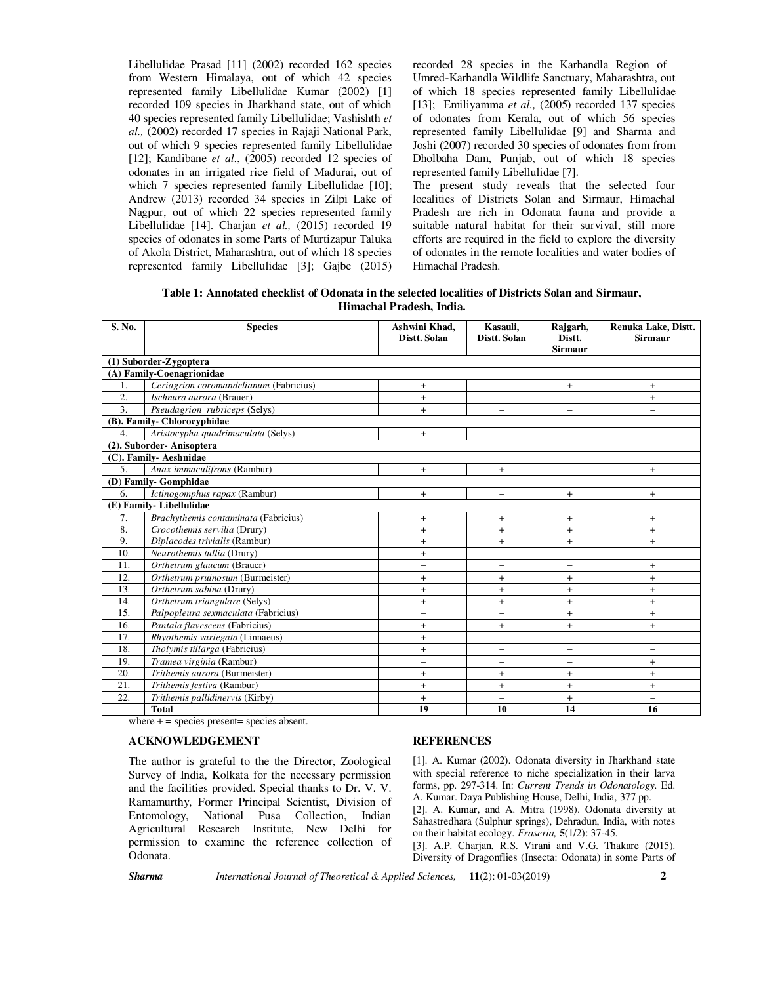Libellulidae Prasad [11] (2002) recorded 162 species from Western Himalaya, out of which 42 species represented family Libellulidae Kumar (2002) [1] recorded 109 species in Jharkhand state, out of which 40 species represented family Libellulidae; Vashishth *et al.,* (2002) recorded 17 species in Rajaji National Park, out of which 9 species represented family Libellulidae [12]; Kandibane *et al.*, (2005) recorded 12 species of odonates in an irrigated rice field of Madurai, out of which 7 species represented family Libellulidae [10]; Andrew (2013) recorded 34 species in Zilpi Lake of Nagpur, out of which 22 species represented family Libellulidae [14]. Charjan *et al.,* (2015) recorded 19 species of odonates in some Parts of Murtizapur Taluka of Akola District, Maharashtra, out of which 18 species represented family Libellulidae [3]; Gajbe (2015)

recorded 28 species in the Karhandla Region of Umred-Karhandla Wildlife Sanctuary, Maharashtra, out of which 18 species represented family Libellulidae [13]: Emiliyamma *et al.*, (2005) recorded 137 species of odonates from Kerala, out of which 56 species represented family Libellulidae [9] and Sharma and Joshi (2007) recorded 30 species of odonates from from Dholbaha Dam, Punjab, out of which 18 species represented family Libellulidae [7].

The present study reveals that the selected four localities of Districts Solan and Sirmaur, Himachal Pradesh are rich in Odonata fauna and provide a suitable natural habitat for their survival, still more efforts are required in the field to explore the diversity of odonates in the remote localities and water bodies of Himachal Pradesh.

**Table 1: Annotated checklist of Odonata in the selected localities of Districts Solan and Sirmaur, Himachal Pradesh, India.**

| S. No.                      | <b>Species</b>                         | Ashwini Khad,<br>Distt. Solan | Kasauli,<br>Distt. Solan | Rajgarh,<br>Distt.<br><b>Sirmaur</b> | Renuka Lake, Distt.<br><b>Sirmaur</b> |
|-----------------------------|----------------------------------------|-------------------------------|--------------------------|--------------------------------------|---------------------------------------|
| (1) Suborder-Zygoptera      |                                        |                               |                          |                                      |                                       |
| (A) Family-Coenagrionidae   |                                        |                               |                          |                                      |                                       |
| 1.                          | Ceriagrion coromandelianum (Fabricius) | $+$                           | $\qquad \qquad -$        | $+$                                  | $+$                                   |
| $\overline{2}$ .            | <i>Ischnura aurora</i> (Brauer)        | $+$                           | -                        |                                      | $+$                                   |
| $\overline{3}$ .            | Pseudagrion rubriceps (Selys)          | $+$                           |                          |                                      |                                       |
| (B). Family- Chlorocyphidae |                                        |                               |                          |                                      |                                       |
| $\overline{4}$ .            | Aristocypha quadrimaculata (Selys)     | $+$                           | $\qquad \qquad -$        | $\overbrace{\phantom{12322111}}$     |                                       |
| (2). Suborder-Anisoptera    |                                        |                               |                          |                                      |                                       |
| (C). Family- Aeshnidae      |                                        |                               |                          |                                      |                                       |
| $\overline{5}$ .            | Anax immaculifrons (Rambur)            | $+$                           | $+$                      | $\overline{\phantom{0}}$             | $+$                                   |
| (D) Family- Gomphidae       |                                        |                               |                          |                                      |                                       |
| 6.                          | Ictinogomphus rapax (Rambur)           | $+$                           | $\overline{\phantom{0}}$ | $\ddot{}$                            | $+$                                   |
| (E) Family-Libellulidae     |                                        |                               |                          |                                      |                                       |
| 7.                          | Brachythemis contaminata (Fabricius)   | $\ddot{}$                     | $+$                      | $\ddot{}$                            | $+$                                   |
| 8.                          | Crocothemis servilia (Drury)           | $\ddot{}$                     | $^{+}$                   | $\ddot{}$                            | $+$                                   |
| 9.                          | Diplacodes trivialis (Rambur)          | $+$                           | $+$                      | $+$                                  | $+$                                   |
| 10.                         | Neurothemis tullia (Drury)             | $\ddot{}$                     | $\overline{\phantom{0}}$ | $\overline{\phantom{0}}$             | -                                     |
| 11.                         | Orthetrum glaucum (Brauer)             | $\overline{\phantom{0}}$      | $\overline{\phantom{0}}$ | $\qquad \qquad -$                    | $+$                                   |
| 12.                         | Orthetrum pruinosum (Burmeister)       | $+$                           | $+$                      | $+$                                  | $+$                                   |
| 13.                         | Orthetrum sabina (Drury)               | $+$                           | $+$                      | $\ddot{}$                            | $\ddot{}$                             |
| 14.                         | Orthetrum triangulare (Selys)          | $+$                           | $+$                      | $+$                                  | $+$                                   |
| 15.                         | Palpopleura sexmaculata (Fabricius)    | $\qquad \qquad -$             | $\overline{\phantom{0}}$ | $+$                                  | $+$                                   |
| 16.                         | Pantala flavescens (Fabricius)         | $\ddot{}$                     | $^{+}$                   | $\ddot{}$                            | $\ddot{}$                             |
| 17.                         | Rhyothemis variegata (Linnaeus)        | $\ddot{}$                     | $\overline{\phantom{0}}$ | $\qquad \qquad -$                    | -                                     |
| 18.                         | Tholymis tillarga (Fabricius)          | $\ddot{}$                     | $\overline{\phantom{0}}$ | $\qquad \qquad -$                    | -                                     |
| 19.                         | Tramea virginia (Rambur)               | $\overline{\phantom{0}}$      |                          | $\overline{\phantom{0}}$             | $\ddot{}$                             |
| 20.                         | Trithemis aurora (Burmeister)          | $+$                           | $+$                      | $+$                                  | $+$                                   |
| 21.                         | Trithemis festiva (Rambur)             | $\ddot{}$                     | $+$                      | $+$                                  | $+$                                   |
| 22.                         | Trithemis pallidinervis (Kirby)        | $\ddot{}$                     | $\overline{\phantom{0}}$ | $^{+}$                               | $\qquad \qquad -$                     |
|                             | <b>Total</b>                           | 19                            | 10                       | 14                                   | 16                                    |

where  $+$  = species present= species absent.

#### **ACKNOWLEDGEMENT**

The author is grateful to the the Director, Zoological Survey of India, Kolkata for the necessary permission and the facilities provided. Special thanks to Dr. V. V. Ramamurthy, Former Principal Scientist, Division of Entomology, National Pusa Collection, Indian Agricultural Research Institute, New Delhi for permission to examine the reference collection of Odonata.

#### **REFERENCES**

[1]. A. Kumar (2002). Odonata diversity in Jharkhand state with special reference to niche specialization in their larva forms, pp. 297-314. In: *Current Trends in Odonatology.* Ed. A. Kumar. Daya Publishing House, Delhi, India, 377 pp. [2]. A. Kumar, and A. Mitra (1998). Odonata diversity at Sahastredhara (Sulphur springs), Dehradun, India, with notes on their habitat ecology. *Fraseria,* **5**(1/2): 37-45. [3]. A.P. Charjan, R.S. Virani and V.G. Thakare (2015).

Diversity of Dragonflies (Insecta: Odonata) in some Parts of

*Sharma International Journal of Theoretical & Applied Sciences,* **11**(2): 01-03(2019) **2**